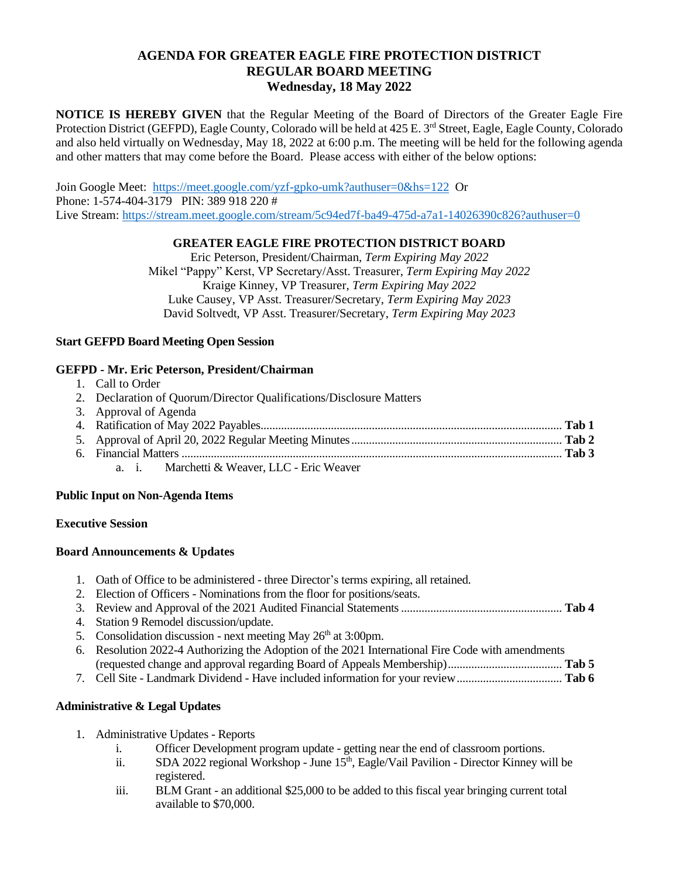# **AGENDA FOR GREATER EAGLE FIRE PROTECTION DISTRICT REGULAR BOARD MEETING Wednesday, 18 May 2022**

**NOTICE IS HEREBY GIVEN** that the Regular Meeting of the Board of Directors of the Greater Eagle Fire Protection District (GEFPD), Eagle County, Colorado will be held at 425 E. 3<sup>rd</sup> Street, Eagle, Eagle County, Colorado and also held virtually on Wednesday, May 18, 2022 at 6:00 p.m. The meeting will be held for the following agenda and other matters that may come before the Board. Please access with either of the below options:

Join Google Meet: <https://meet.google.com/yzf-gpko-umk?authuser=0&hs=122>Or Phone: 1-574-404-3179 PIN: 389 918 220 # Live Stream:<https://stream.meet.google.com/stream/5c94ed7f-ba49-475d-a7a1-14026390c826?authuser=0>

### **GREATER EAGLE FIRE PROTECTION DISTRICT BOARD**

Eric Peterson, President/Chairman, *Term Expiring May 2022* Mikel "Pappy" Kerst, VP Secretary/Asst. Treasurer, *Term Expiring May 2022* Kraige Kinney, VP Treasurer, *Term Expiring May 2022* Luke Causey, VP Asst. Treasurer/Secretary, *Term Expiring May 2023* David Soltvedt, VP Asst. Treasurer/Secretary, *Term Expiring May 2023*

### **Start GEFPD Board Meeting Open Session**

### **GEFPD - Mr. Eric Peterson, President/Chairman**

- 1. Call to Order
- 2. Declaration of Quorum/Director Qualifications/Disclosure Matters

| 3. Approval of Agenda |  |
|-----------------------|--|
|                       |  |
|                       |  |
|                       |  |
|                       |  |

a. i. Marchetti & Weaver, LLC - Eric Weaver

### **Public Input on Non-Agenda Items**

### **Executive Session**

# **Board Announcements & Updates**

- 1. Oath of Office to be administered three Director's terms expiring, all retained.
- 2. Election of Officers Nominations from the floor for positions/seats.
- 3. Review and Approval of the 2021 Audited Financial Statements....................................................... **Tab 4**
- 4. Station 9 Remodel discussion/update.
- 5. Consolidation discussion next meeting May  $26<sup>th</sup>$  at 3:00pm.
- 6. Resolution 2022-4 Authorizing the Adoption of the 2021 International Fire Code with amendments (requested change and approval regarding Board of Appeals Membership)....................................... **Tab 5**
- 7. Cell Site Landmark Dividend Have included information for your review.................................... **Tab 6**

# **Administrative & Legal Updates**

- 1. Administrative Updates Reports
	- i. Officer Development program update getting near the end of classroom portions.
	- ii. SDA 2022 regional Workshop June 15<sup>th</sup>, Eagle/Vail Pavilion Director Kinney will be registered.
	- iii. BLM Grant an additional \$25,000 to be added to this fiscal year bringing current total available to \$70,000.